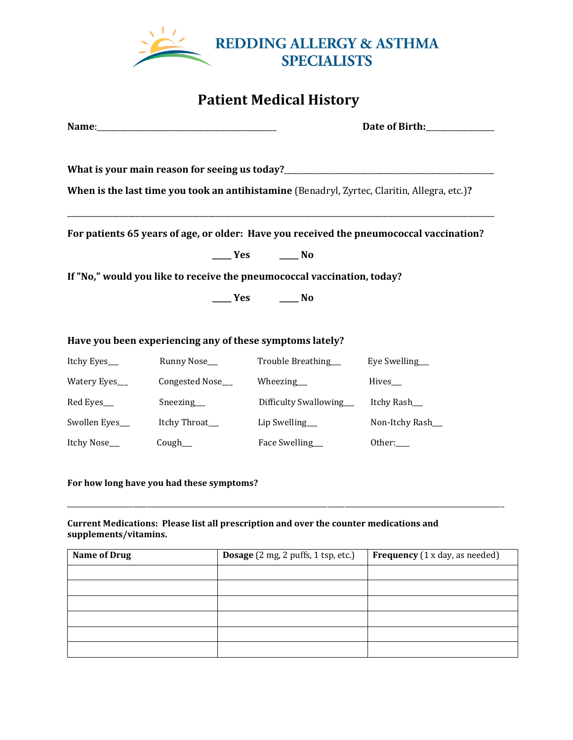

## **Patient Medical History**

|                                                                                              |                                                           | Date of Birth: <u>_____________</u>                                                                                                                                                                                                                                                                                                       |                 |  |  |
|----------------------------------------------------------------------------------------------|-----------------------------------------------------------|-------------------------------------------------------------------------------------------------------------------------------------------------------------------------------------------------------------------------------------------------------------------------------------------------------------------------------------------|-----------------|--|--|
|                                                                                              |                                                           |                                                                                                                                                                                                                                                                                                                                           |                 |  |  |
| What is your main reason for seeing us today?___________________________________             |                                                           |                                                                                                                                                                                                                                                                                                                                           |                 |  |  |
| When is the last time you took an antihistamine (Benadryl, Zyrtec, Claritin, Allegra, etc.)? |                                                           |                                                                                                                                                                                                                                                                                                                                           |                 |  |  |
|                                                                                              |                                                           |                                                                                                                                                                                                                                                                                                                                           |                 |  |  |
| For patients 65 years of age, or older: Have you received the pneumococcal vaccination?      |                                                           |                                                                                                                                                                                                                                                                                                                                           |                 |  |  |
|                                                                                              |                                                           | $\frac{1}{\sqrt{1-\frac{1}{2}}}$ Yes $\frac{1}{\sqrt{1-\frac{1}{2}}}$ No                                                                                                                                                                                                                                                                  |                 |  |  |
| If "No," would you like to receive the pneumococcal vaccination, today?                      |                                                           |                                                                                                                                                                                                                                                                                                                                           |                 |  |  |
|                                                                                              |                                                           | $\rule{1em}{0.15mm}$ $\qquad$ $\rule{1em}{0.15mm}$ $\qquad$ $\qquad$ $\qquad$ $\qquad$ $\qquad$ $\qquad$ $\qquad$ $\qquad$ $\qquad$ $\qquad$ $\qquad$ $\qquad$ $\qquad$ $\qquad$ $\qquad$ $\qquad$ $\qquad$ $\qquad$ $\qquad$ $\qquad$ $\qquad$ $\qquad$ $\qquad$ $\qquad$ $\qquad$ $\qquad$ $\qquad$ $\qquad$ $\qquad$ $\qquad$ $\qquad$ |                 |  |  |
|                                                                                              |                                                           |                                                                                                                                                                                                                                                                                                                                           |                 |  |  |
| Have you been experiencing any of these symptoms lately?                                     |                                                           |                                                                                                                                                                                                                                                                                                                                           |                 |  |  |
| Itchy Eyes___                                                                                |                                                           |                                                                                                                                                                                                                                                                                                                                           |                 |  |  |
|                                                                                              | Watery Eyes____________Congested Nose_________Wheezing___ |                                                                                                                                                                                                                                                                                                                                           | Hives__         |  |  |
| Red Eyes___                                                                                  |                                                           | Sneezing____________________Difficulty Swallowing________Itchy Rash______________                                                                                                                                                                                                                                                         |                 |  |  |
|                                                                                              |                                                           | Swollen Eyes___________Itchy Throat_____________Lip Swelling____________________                                                                                                                                                                                                                                                          | Non-Itchy Rash_ |  |  |
| Itchy Nose___                                                                                | Cough                                                     | Face Swelling__                                                                                                                                                                                                                                                                                                                           | Other:          |  |  |

## **For how long have you had these symptoms?**

## **Current Medications: Please list all prescription and over the counter medications and supplements/vitamins.**

| <b>Name of Drug</b> | Dosage (2 mg, 2 puffs, 1 tsp, etc.) | <b>Frequency</b> (1 x day, as needed) |
|---------------------|-------------------------------------|---------------------------------------|
|                     |                                     |                                       |
|                     |                                     |                                       |
|                     |                                     |                                       |
|                     |                                     |                                       |
|                     |                                     |                                       |
|                     |                                     |                                       |

\_\_\_\_\_\_\_\_\_\_\_\_\_\_\_\_\_\_\_\_\_\_\_\_\_\_\_\_\_\_\_\_\_\_\_\_\_\_\_\_\_\_\_\_\_\_\_\_\_\_\_\_\_\_\_\_\_\_\_\_\_\_\_\_\_\_\_\_\_\_\_\_\_\_\_\_\_\_\_\_\_\_\_\_\_\_\_\_\_\_\_\_\_\_\_\_\_\_\_\_\_\_\_\_\_\_\_\_\_\_\_\_\_\_\_\_\_\_\_\_\_\_\_\_\_\_